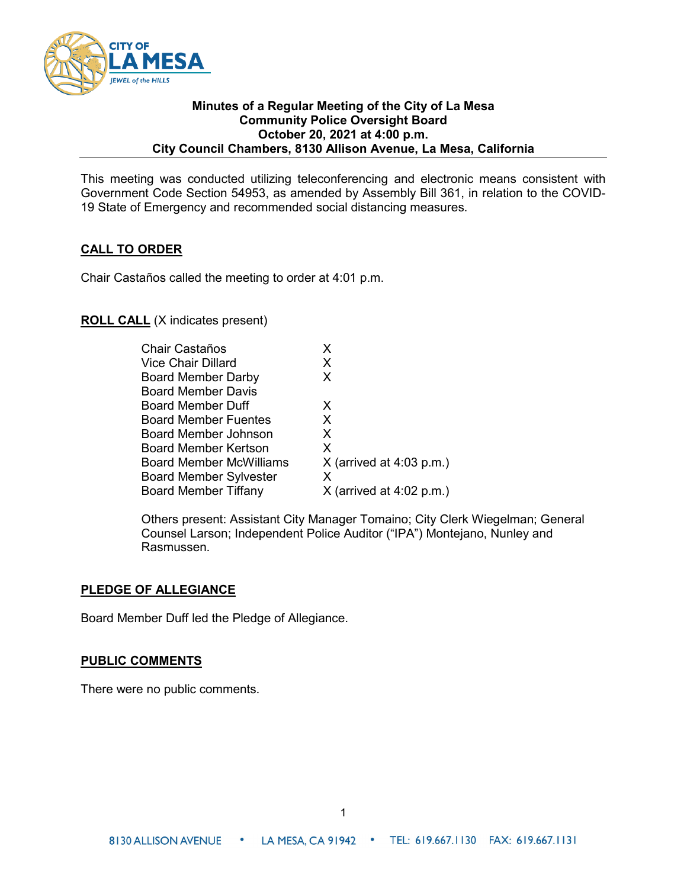

#### **Minutes of a Regular Meeting of the City of La Mesa Community Police Oversight Board October 20, 2021 at 4:00 p.m. City Council Chambers, 8130 Allison Avenue, La Mesa, California**

This meeting was conducted utilizing teleconferencing and electronic means consistent with Government Code Section 54953, as amended by Assembly Bill 361, in relation to the COVID-19 State of Emergency and recommended social distancing measures.

# **CALL TO ORDER**

Chair Castaños called the meeting to order at 4:01 p.m.

# **ROLL CALL** (X indicates present)

| $X$ (arrived at 4:03 p.m.) |
|----------------------------|
|                            |
|                            |
| $X$ (arrived at 4:02 p.m.) |

Others present: Assistant City Manager Tomaino; City Clerk Wiegelman; General Counsel Larson; Independent Police Auditor ("IPA") Montejano, Nunley and Rasmussen.

#### **PLEDGE OF ALLEGIANCE**

Board Member Duff led the Pledge of Allegiance.

#### **PUBLIC COMMENTS**

There were no public comments.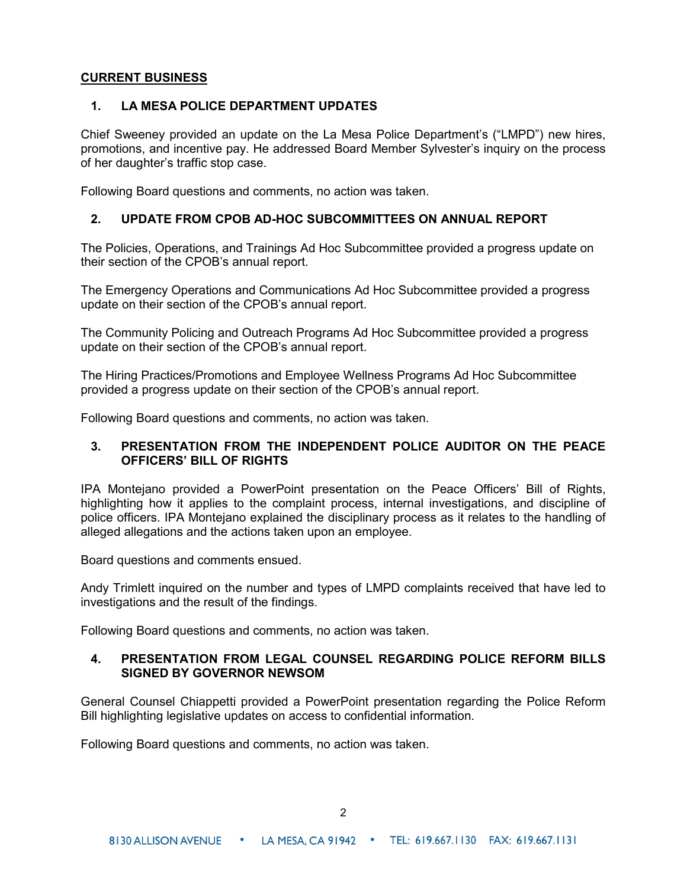# **CURRENT BUSINESS**

### **1. LA MESA POLICE DEPARTMENT UPDATES**

Chief Sweeney provided an update on the La Mesa Police Department's ("LMPD") new hires, promotions, and incentive pay. He addressed Board Member Sylvester's inquiry on the process of her daughter's traffic stop case.

Following Board questions and comments, no action was taken.

### **2. UPDATE FROM CPOB AD-HOC SUBCOMMITTEES ON ANNUAL REPORT**

The Policies, Operations, and Trainings Ad Hoc Subcommittee provided a progress update on their section of the CPOB's annual report.

The Emergency Operations and Communications Ad Hoc Subcommittee provided a progress update on their section of the CPOB's annual report.

The Community Policing and Outreach Programs Ad Hoc Subcommittee provided a progress update on their section of the CPOB's annual report.

The Hiring Practices/Promotions and Employee Wellness Programs Ad Hoc Subcommittee provided a progress update on their section of the CPOB's annual report.

Following Board questions and comments, no action was taken.

# **3. PRESENTATION FROM THE INDEPENDENT POLICE AUDITOR ON THE PEACE OFFICERS' BILL OF RIGHTS**

IPA Montejano provided a PowerPoint presentation on the Peace Officers' Bill of Rights, highlighting how it applies to the complaint process, internal investigations, and discipline of police officers. IPA Montejano explained the disciplinary process as it relates to the handling of alleged allegations and the actions taken upon an employee.

Board questions and comments ensued.

Andy Trimlett inquired on the number and types of LMPD complaints received that have led to investigations and the result of the findings.

Following Board questions and comments, no action was taken.

#### **4. PRESENTATION FROM LEGAL COUNSEL REGARDING POLICE REFORM BILLS SIGNED BY GOVERNOR NEWSOM**

General Counsel Chiappetti provided a PowerPoint presentation regarding the Police Reform Bill highlighting legislative updates on access to confidential information.

Following Board questions and comments, no action was taken.